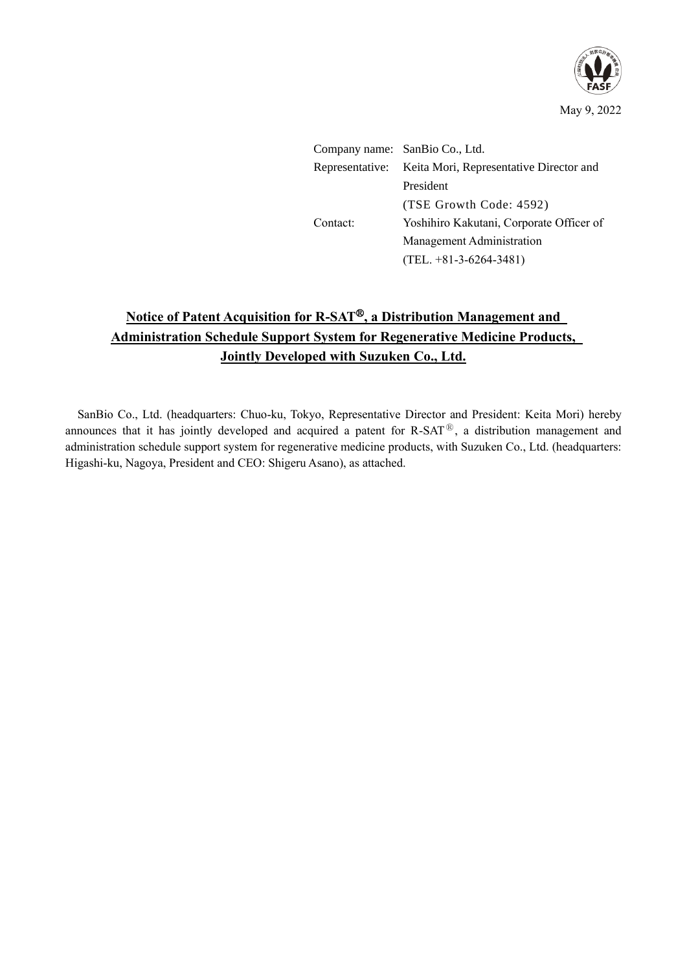

Company name: SanBio Co., Ltd. Representative: Keita Mori, Representative Director and President (TSE Growth Code: 4592) Contact: Yoshihiro Kakutani, Corporate Officer of Management Administration (TEL. +81-3-6264-3481)

# **Notice of Patent Acquisition for R-SAT<sup>®</sup>, a Distribution Management and Administration Schedule Support System for Regenerative Medicine Products, Jointly Developed with Suzuken Co., Ltd.**

SanBio Co., Ltd. (headquarters: Chuo-ku, Tokyo, Representative Director and President: Keita Mori) hereby announces that it has jointly developed and acquired a patent for  $R-SAT^{\circledR}$ , a distribution management and administration schedule support system for regenerative medicine products, with Suzuken Co., Ltd. (headquarters: Higashi-ku, Nagoya, President and CEO: Shigeru Asano), as attached.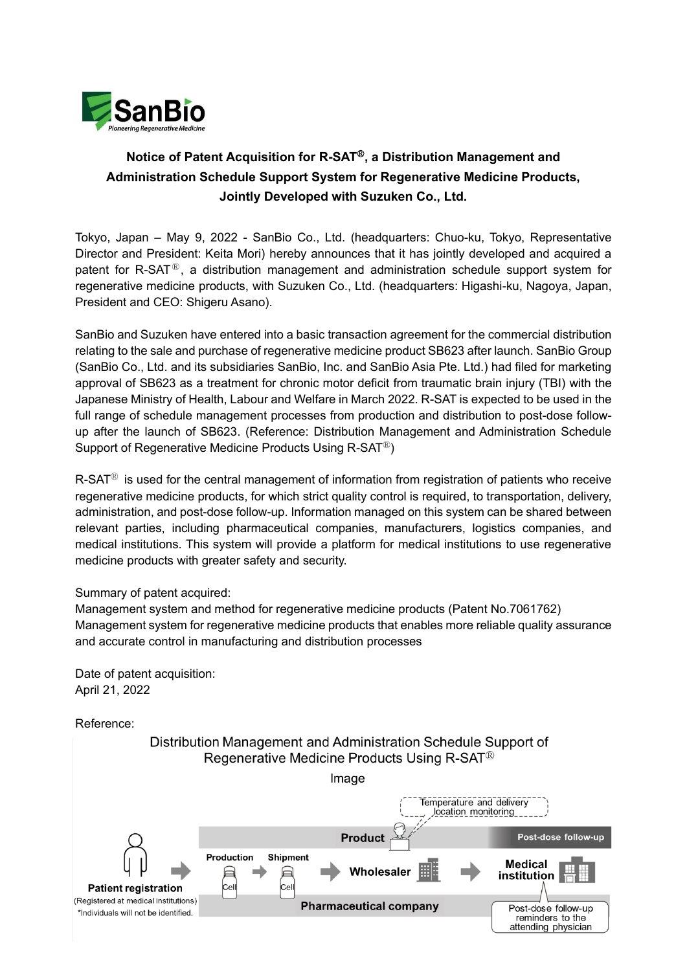

## **Notice of Patent Acquisition for R-SAT**Ⓡ**, a Distribution Management and Administration Schedule Support System for Regenerative Medicine Products, Jointly Developed with Suzuken Co., Ltd.**

Tokyo, Japan – May 9, 2022 - SanBio Co., Ltd. (headquarters: Chuo-ku, Tokyo, Representative Director and President: Keita Mori) hereby announces that it has jointly developed and acquired a patent for R-SAT<sup>®</sup>, a distribution management and administration schedule support system for regenerative medicine products, with Suzuken Co., Ltd. (headquarters: Higashi-ku, Nagoya, Japan, President and CEO: Shigeru Asano).

SanBio and Suzuken have entered into a basic transaction agreement for the commercial distribution relating to the sale and purchase of regenerative medicine product SB623 after launch. SanBio Group (SanBio Co., Ltd. and its subsidiaries SanBio, Inc. and SanBio Asia Pte. Ltd.) had filed for marketing approval of SB623 as a treatment for chronic motor deficit from traumatic brain injury (TBI) with the Japanese Ministry of Health, Labour and Welfare in March 2022. R-SAT is expected to be used in the full range of schedule management processes from production and distribution to post-dose followup after the launch of SB623. (Reference: Distribution Management and Administration Schedule Support of Regenerative Medicine Products Using R-SAT<sup>®</sup>)

 $R$ -SAT<sup>®</sup> is used for the central management of information from registration of patients who receive regenerative medicine products, for which strict quality control is required, to transportation, delivery, administration, and post-dose follow-up. Information managed on this system can be shared between relevant parties, including pharmaceutical companies, manufacturers, logistics companies, and medical institutions. This system will provide a platform for medical institutions to use regenerative medicine products with greater safety and security.

#### Summary of patent acquired:

Management system and method for regenerative medicine products (Patent No.7061762) Management system for regenerative medicine products that enables more reliable quality assurance and accurate control in manufacturing and distribution processes

Date of patent acquisition: April 21, 2022

Reference:

Distribution Management and Administration Schedule Support of Regenerative Medicine Products Using R-SAT<sup>®</sup>